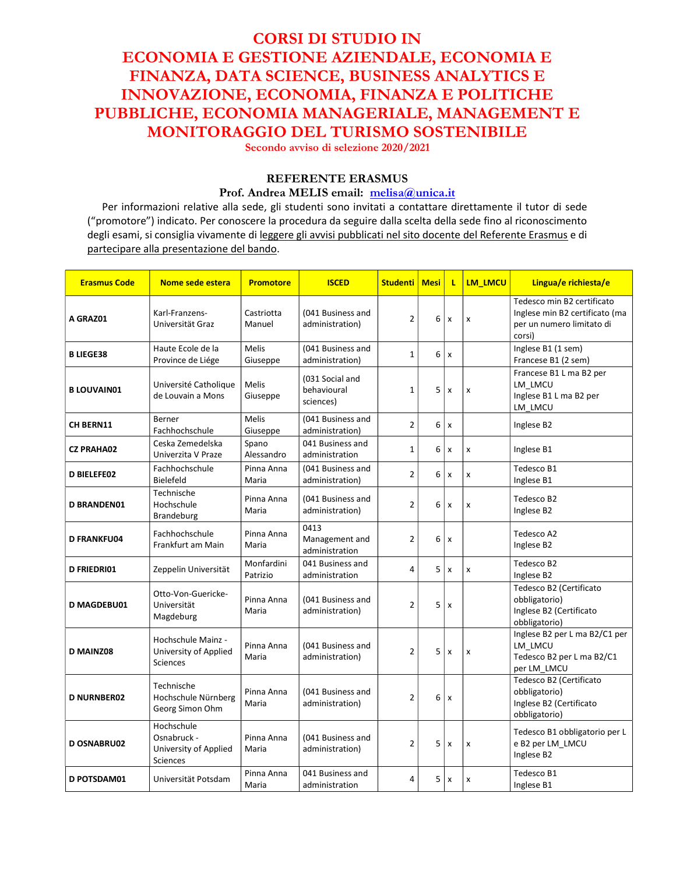# CORSI DI STUDIO IN ECONOMIA E GESTIONE AZIENDALE, ECONOMIA E FINANZA, DATA SCIENCE, BUSINESS ANALYTICS E INNOVAZIONE, ECONOMIA, FINANZA E POLITICHE PUBBLICHE, ECONOMIA MANAGERIALE, MANAGEMENT E MONITORAGGIO DEL TURISMO SOSTENIBILE

Secondo avviso di selezione 2020/2021

## REFERENTE ERASMUS

#### Prof. Andrea MELIS email: melisa@unica.it

Per informazioni relative alla sede, gli studenti sono invitati a contattare direttamente il tutor di sede ("promotore") indicato. Per conoscere la procedura da seguire dalla scelta della sede fino al riconoscimento degli esami, si consiglia vivamente di leggere gli avvisi pubblicati nel sito docente del Referente Erasmus e di partecipare alla presentazione del bando.

| <b>Erasmus Code</b> | Nome sede estera                                               | <b>Promotore</b>         | <b>ISCED</b>                                | <b>Studenti   Mesi</b>  |   | τ                         | LM LMCU | Lingua/e richiesta/e                                                                                |
|---------------------|----------------------------------------------------------------|--------------------------|---------------------------------------------|-------------------------|---|---------------------------|---------|-----------------------------------------------------------------------------------------------------|
| A GRAZ01            | Karl-Franzens-<br>Universität Graz                             | Castriotta<br>Manuel     | (041 Business and<br>administration)        | $\overline{2}$          | 6 | $\boldsymbol{\mathsf{x}}$ | X       | Tedesco min B2 certificato<br>Inglese min B2 certificato (ma<br>per un numero limitato di<br>corsi) |
| <b>B LIEGE38</b>    | Haute Ecole de la<br>Province de Liége                         | Melis<br>Giuseppe        | (041 Business and<br>administration)        | $\mathbf{1}$            | 6 | x                         |         | Inglese B1 (1 sem)<br>Francese B1 (2 sem)                                                           |
| <b>B LOUVAIN01</b>  | Université Catholique<br>de Louvain a Mons                     | Melis<br>Giuseppe        | (031 Social and<br>behavioural<br>sciences) | $\mathbf 1$             | 5 | x                         | x       | Francese B1 L ma B2 per<br>LM_LMCU<br>Inglese B1 L ma B2 per<br>LM LMCU                             |
| <b>CH BERN11</b>    | <b>Berner</b><br>Fachhochschule                                | <b>Melis</b><br>Giuseppe | (041 Business and<br>administration)        | $\overline{2}$          | 6 | x                         |         | Inglese B2                                                                                          |
| <b>CZ PRAHA02</b>   | Ceska Zemedelska<br>Univerzita V Praze                         | Spano<br>Alessandro      | 041 Business and<br>administration          | $\mathbf 1$             | 6 | $\boldsymbol{\mathsf{x}}$ | X       | Inglese B1                                                                                          |
| <b>D BIELEFE02</b>  | Fachhochschule<br>Bielefeld                                    | Pinna Anna<br>Maria      | (041 Business and<br>administration)        | $\overline{2}$          | 6 | $\pmb{\times}$            | X       | Tedesco B1<br>Inglese B1                                                                            |
| <b>D BRANDEN01</b>  | Technische<br>Hochschule<br>Brandeburg                         | Pinna Anna<br>Maria      | (041 Business and<br>administration)        | $\overline{2}$          | 6 | $\boldsymbol{\mathsf{x}}$ | x       | Tedesco B2<br>Inglese B2                                                                            |
| <b>D FRANKFU04</b>  | Fachhochschule<br>Frankfurt am Main                            | Pinna Anna<br>Maria      | 0413<br>Management and<br>administration    | 2                       | 6 | x                         |         | Tedesco A2<br>Inglese B2                                                                            |
| <b>D FRIEDRIO1</b>  | Zeppelin Universität                                           | Monfardini<br>Patrizio   | 041 Business and<br>administration          | 4                       | 5 | $\boldsymbol{\mathsf{x}}$ | x       | Tedesco B2<br>Inglese B2                                                                            |
| <b>D MAGDEBU01</b>  | Otto-Von-Guericke-<br>Universität<br>Magdeburg                 | Pinna Anna<br>Maria      | (041 Business and<br>administration)        | $\overline{\mathbf{c}}$ | 5 | x                         |         | Tedesco B2 (Certificato<br>obbligatorio)<br>Inglese B2 (Certificato<br>obbligatorio)                |
| <b>D MAINZ08</b>    | Hochschule Mainz -<br>University of Applied<br>Sciences        | Pinna Anna<br>Maria      | (041 Business and<br>administration)        | $\overline{2}$          | 5 | $\boldsymbol{\mathsf{x}}$ | X       | Inglese B2 per L ma B2/C1 per<br>LM_LMCU<br>Tedesco B2 per L ma B2/C1<br>per LM LMCU                |
| <b>D NURNBER02</b>  | Technische<br>Hochschule Nürnberg<br>Georg Simon Ohm           | Pinna Anna<br>Maria      | (041 Business and<br>administration)        | $\overline{2}$          | 6 | x                         |         | Tedesco B2 (Certificato<br>obbligatorio)<br>Inglese B2 (Certificato<br>obbligatorio)                |
| <b>D OSNABRU02</b>  | Hochschule<br>Osnabruck -<br>University of Applied<br>Sciences | Pinna Anna<br>Maria      | (041 Business and<br>administration)        | $\overline{2}$          | 5 | $\boldsymbol{\mathsf{x}}$ | X       | Tedesco B1 obbligatorio per L<br>e B2 per LM_LMCU<br>Inglese B2                                     |
| D POTSDAM01         | Universität Potsdam                                            | Pinna Anna<br>Maria      | 041 Business and<br>administration          | 4                       | 5 | x                         | X       | Tedesco B1<br>Inglese B1                                                                            |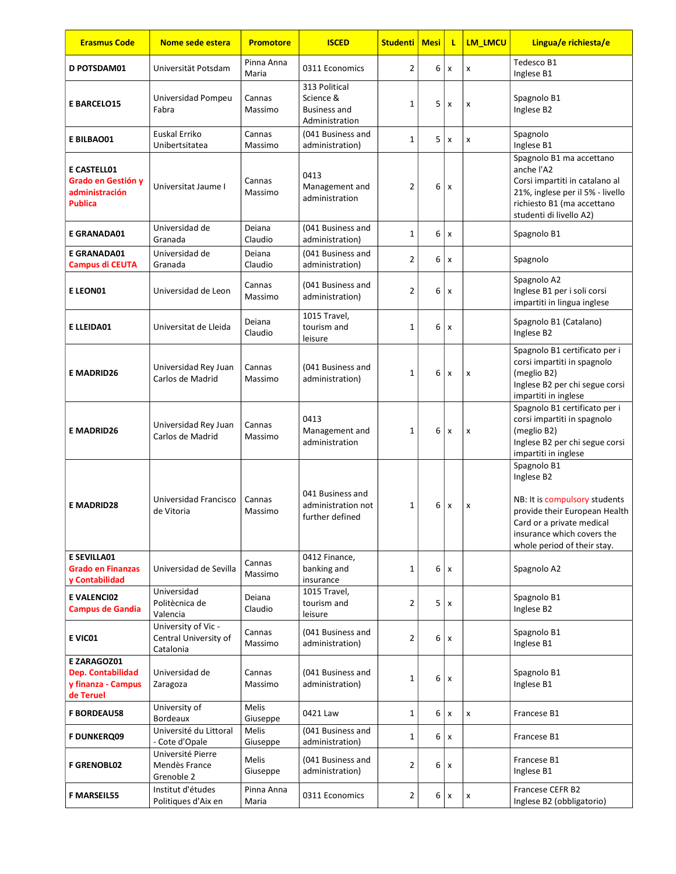| <b>Erasmus Code</b>                                                 | Nome sede estera                                          | <b>Promotore</b>    | <b>ISCED</b>                                                        | <b>Studenti</b> | <b>Mesi</b> | τ              | LM_LMCU | Lingua/e richiesta/e                                                                                                                                                                  |
|---------------------------------------------------------------------|-----------------------------------------------------------|---------------------|---------------------------------------------------------------------|-----------------|-------------|----------------|---------|---------------------------------------------------------------------------------------------------------------------------------------------------------------------------------------|
| <b>D POTSDAM01</b>                                                  | Universität Potsdam                                       | Pinna Anna<br>Maria | 0311 Economics                                                      | 2               | 6           | $\pmb{\times}$ | x       | Tedesco B1<br>Inglese B1                                                                                                                                                              |
| <b>E BARCELO15</b>                                                  | Universidad Pompeu<br>Fabra                               | Cannas<br>Massimo   | 313 Political<br>Science &<br><b>Business and</b><br>Administration | $\mathbf 1$     | 5           | $\pmb{\times}$ | X       | Spagnolo B1<br>Inglese B2                                                                                                                                                             |
| E BILBAO01                                                          | Euskal Erriko<br>Unibertsitatea                           | Cannas<br>Massimo   | (041 Business and<br>administration)                                | $\mathbf{1}$    | 5           | x              | x       | Spagnolo<br>Inglese B1                                                                                                                                                                |
| E CASTELL01<br>Grado en Gestión y<br>administración<br>Publica      | Universitat Jaume I                                       | Cannas<br>Massimo   | 0413<br>Management and<br>administration                            | 2               | 6           | $\pmb{\times}$ |         | Spagnolo B1 ma accettano<br>anche l'A2<br>Corsi impartiti in catalano al<br>21%, inglese per il 5% - livello<br>richiesto B1 (ma accettano<br>studenti di livello A2)                 |
| <b>E GRANADA01</b>                                                  | Universidad de<br>Granada                                 | Deiana<br>Claudio   | (041 Business and<br>administration)                                | $\mathbf 1$     | 6           | x              |         | Spagnolo B1                                                                                                                                                                           |
| <b>E GRANADA01</b><br><b>Campus di CEUTA</b>                        | Universidad de<br>Granada                                 | Deiana<br>Claudio   | (041 Business and<br>administration)                                | 2               | 6           | x              |         | Spagnolo                                                                                                                                                                              |
| E LEON01                                                            | Universidad de Leon                                       | Cannas<br>Massimo   | (041 Business and<br>administration)                                | $\overline{2}$  | 6           | x              |         | Spagnolo A2<br>Inglese B1 per i soli corsi<br>impartiti in lingua inglese                                                                                                             |
| <b>ELLEIDA01</b>                                                    | Universitat de Lleida                                     | Deiana<br>Claudio   | 1015 Travel,<br>tourism and<br>leisure                              | 1               | 6           | x              |         | Spagnolo B1 (Catalano)<br>Inglese B2                                                                                                                                                  |
| <b>E MADRID26</b>                                                   | Universidad Rey Juan<br>Carlos de Madrid                  | Cannas<br>Massimo   | (041 Business and<br>administration)                                | $\mathbf{1}$    | 6           | x              | x       | Spagnolo B1 certificato per i<br>corsi impartiti in spagnolo<br>(meglio B2)<br>Inglese B2 per chi segue corsi<br>impartiti in inglese                                                 |
| <b>E MADRID26</b>                                                   | Universidad Rey Juan<br>Carlos de Madrid                  | Cannas<br>Massimo   | 0413<br>Management and<br>administration                            | 1               | 6           | x              | x       | Spagnolo B1 certificato per i<br>corsi impartiti in spagnolo<br>(meglio B2)<br>Inglese B2 per chi segue corsi<br>impartiti in inglese                                                 |
| <b>E MADRID28</b>                                                   | Universidad Francisco<br>de Vitoria                       | Cannas<br>Massimo   | 041 Business and<br>administration not<br>further defined           | 1               | 6           | x              | x       | Spagnolo B1<br>Inglese B2<br>NB: It is compulsory students<br>provide their European Health<br>Card or a private medical<br>insurance which covers the<br>whole period of their stay. |
| <b>E SEVILLA01</b><br><b>Grado en Finanzas</b><br>y Contabilidad    | Universidad de Sevilla                                    | Cannas<br>Massimo   | 0412 Finance,<br>banking and<br>insurance                           | $\mathbf{1}$    | 6           | $\mathsf{x}$   |         | Spagnolo A2                                                                                                                                                                           |
| <b>EVALENCIO2</b><br><b>Campus de Gandia</b>                        | Universidad<br>Politècnica de<br>Valencia                 | Deiana<br>Claudio   | 1015 Travel,<br>tourism and<br>leisure                              | 2               | 5           | x              |         | Spagnolo B1<br>Inglese B2                                                                                                                                                             |
| E VICO1                                                             | University of Vic -<br>Central University of<br>Catalonia | Cannas<br>Massimo   | (041 Business and<br>administration)                                | $\overline{2}$  | 6           | $\mathsf{x}$   |         | Spagnolo B1<br>Inglese B1                                                                                                                                                             |
| E ZARAGOZ01<br>Dep. Contabilidad<br>y finanza - Campus<br>de Teruel | Universidad de<br>Zaragoza                                | Cannas<br>Massimo   | (041 Business and<br>administration)                                | 1               | 6           | X              |         | Spagnolo B1<br>Inglese B1                                                                                                                                                             |
| <b>F BORDEAU58</b>                                                  | University of<br><b>Bordeaux</b>                          | Melis<br>Giuseppe   | 0421 Law                                                            | $\mathbf{1}$    | 6           | $\pmb{\times}$ | x       | Francese B1                                                                                                                                                                           |
| <b>F DUNKERQ09</b>                                                  | Université du Littoral<br>- Cote d'Opale                  | Melis<br>Giuseppe   | (041 Business and<br>administration)                                | $\mathbf 1$     | 6           | X              |         | Francese B1                                                                                                                                                                           |
| <b>F GRENOBL02</b>                                                  | Université Pierre<br>Mendès France<br>Grenoble 2          | Melis<br>Giuseppe   | (041 Business and<br>administration)                                | 2               | 6           | x              |         | Francese B1<br>Inglese B1                                                                                                                                                             |
| <b>F MARSEIL55</b>                                                  | Institut d'études<br>Politiques d'Aix en                  | Pinna Anna<br>Maria | 0311 Economics                                                      | 2               | 6           | x              | x       | Francese CEFR B2<br>Inglese B2 (obbligatorio)                                                                                                                                         |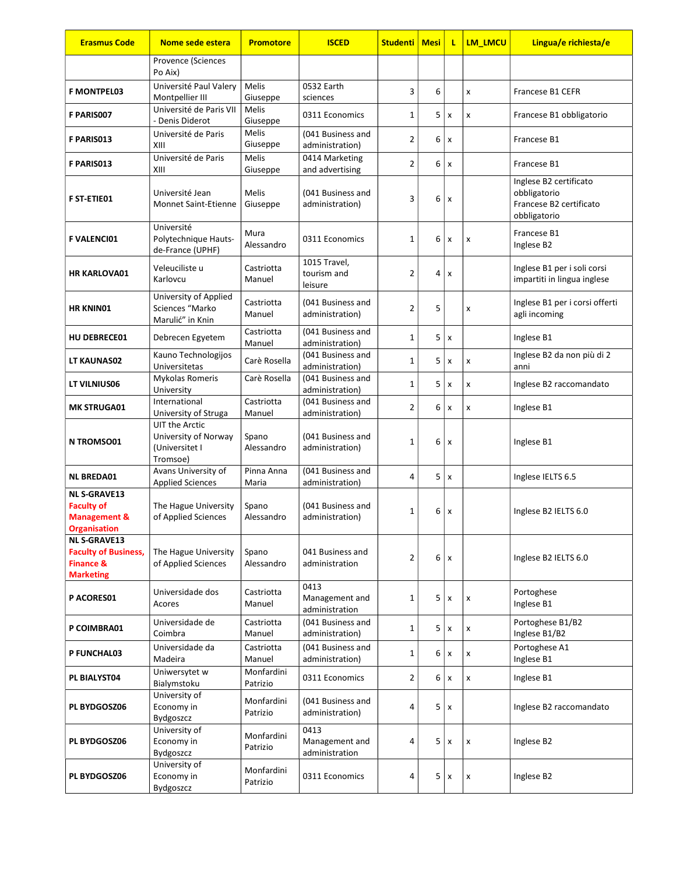| <b>Erasmus Code</b>                                                                            | Nome sede estera                                                     | <b>Promotore</b>         | <b>ISCED</b>                             | <b>Studenti</b> | Mesi | L                         | <b>LM LMCU</b> | Lingua/e richiesta/e                                                              |
|------------------------------------------------------------------------------------------------|----------------------------------------------------------------------|--------------------------|------------------------------------------|-----------------|------|---------------------------|----------------|-----------------------------------------------------------------------------------|
|                                                                                                | Provence (Sciences<br>Po Aix)                                        |                          |                                          |                 |      |                           |                |                                                                                   |
| <b>F MONTPEL03</b>                                                                             | Université Paul Valery<br>Montpellier III                            | <b>Melis</b><br>Giuseppe | 0532 Earth<br>sciences                   | 3               | 6    |                           | x              | Francese B1 CEFR                                                                  |
| F PARIS007                                                                                     | Université de Paris VII<br>- Denis Diderot                           | <b>Melis</b><br>Giuseppe | 0311 Economics                           | 1               | 5    | $\boldsymbol{\mathsf{x}}$ | X              | Francese B1 obbligatorio                                                          |
| F PARIS013                                                                                     | Université de Paris<br>XIII                                          | Melis<br>Giuseppe        | (041 Business and<br>administration)     | 2               | 6    | $\boldsymbol{\mathsf{x}}$ |                | Francese B1                                                                       |
| <b>F PARIS013</b>                                                                              | Université de Paris<br>XIII                                          | Melis<br>Giuseppe        | 0414 Marketing<br>and advertising        | $\overline{2}$  | 6    | $\boldsymbol{\mathsf{x}}$ |                | Francese B1                                                                       |
| <b>F ST-ETIE01</b>                                                                             | Université Jean<br><b>Monnet Saint-Etienne</b>                       | <b>Melis</b><br>Giuseppe | (041 Business and<br>administration)     | 3               | 6    | $\boldsymbol{\mathsf{x}}$ |                | Inglese B2 certificato<br>obbligatorio<br>Francese B2 certificato<br>obbligatorio |
| <b>F VALENCIO1</b>                                                                             | Université<br>Polytechnique Hauts-<br>de-France (UPHF)               | Mura<br>Alessandro       | 0311 Economics                           | 1               | 6    | $\boldsymbol{\mathsf{x}}$ | x              | Francese B1<br>Inglese B2                                                         |
| <b>HR KARLOVA01</b>                                                                            | Veleuciliste u<br>Karlovcu                                           | Castriotta<br>Manuel     | 1015 Travel,<br>tourism and<br>leisure   | $\overline{2}$  | 4    | $\boldsymbol{\mathsf{x}}$ |                | Inglese B1 per i soli corsi<br>impartiti in lingua inglese                        |
| <b>HR KNIN01</b>                                                                               | University of Applied<br>Sciences "Marko<br>Marulić" in Knin         | Castriotta<br>Manuel     | (041 Business and<br>administration)     | $\overline{2}$  | 5    |                           | X              | Inglese B1 per i corsi offerti<br>agli incoming                                   |
| <b>HU DEBRECE01</b>                                                                            | Debrecen Egyetem                                                     | Castriotta<br>Manuel     | (041 Business and<br>administration)     | $\mathbf 1$     | 5    | $\boldsymbol{\mathsf{x}}$ |                | Inglese B1                                                                        |
| LT KAUNAS02                                                                                    | Kauno Technologijos<br>Universitetas                                 | Carè Rosella             | (041 Business and<br>administration)     | $\mathbf 1$     | 5    | $\boldsymbol{\mathsf{x}}$ | x              | Inglese B2 da non più di 2<br>anni                                                |
| LT VILNIUS06                                                                                   | Mykolas Romeris<br>University                                        | Carè Rosella             | (041 Business and<br>administration)     | $\mathbf 1$     | 5    | $\boldsymbol{\mathsf{x}}$ | X              | Inglese B2 raccomandato                                                           |
| <b>MK STRUGA01</b>                                                                             | International<br>University of Struga                                | Castriotta<br>Manuel     | (041 Business and<br>administration)     | $\overline{2}$  | 6    | $\boldsymbol{\mathsf{x}}$ | X              | Inglese B1                                                                        |
| <b>N TROMSO01</b>                                                                              | UIT the Arctic<br>University of Norway<br>(Universitet I<br>Tromsoe) | Spano<br>Alessandro      | (041 Business and<br>administration)     | $\mathbf 1$     | 6    | x                         |                | Inglese B1                                                                        |
| <b>NL BREDA01</b>                                                                              | Avans University of<br><b>Applied Sciences</b>                       | Pinna Anna<br>Maria      | (041 Business and<br>administration)     | 4               | 5    | $\boldsymbol{\mathsf{x}}$ |                | Inglese IELTS 6.5                                                                 |
| <b>NL S-GRAVE13</b><br><b>Faculty of</b><br><b>Management &amp;</b><br><b>Organisation</b>     | The Hague University<br>of Applied Sciences                          | Spano<br>Alessandro      | (041 Business and<br>administration)     | $\mathbf{1}$    | 6    | x                         |                | Inglese B2 IELTS 6.0                                                              |
| <b>NL S-GRAVE13</b><br><b>Faculty of Business,</b><br><b>Finance &amp;</b><br><b>Marketing</b> | The Hague University<br>of Applied Sciences                          | Spano<br>Alessandro      | 041 Business and<br>administration       | $\overline{2}$  | 6    | $\boldsymbol{\mathsf{x}}$ |                | Inglese B2 IELTS 6.0                                                              |
| P ACORES01                                                                                     | Universidade dos<br>Acores                                           | Castriotta<br>Manuel     | 0413<br>Management and<br>administration | $\mathbf 1$     | 5    | x                         | x              | Portoghese<br>Inglese B1                                                          |
| P COIMBRA01                                                                                    | Universidade de<br>Coimbra                                           | Castriotta<br>Manuel     | (041 Business and<br>administration)     | 1               | 5    | $\boldsymbol{\mathsf{x}}$ | x              | Portoghese B1/B2<br>Inglese B1/B2                                                 |
| P FUNCHAL03                                                                                    | Universidade da<br>Madeira                                           | Castriotta<br>Manuel     | (041 Business and<br>administration)     | 1               | 6    | $\boldsymbol{\mathsf{x}}$ | x              | Portoghese A1<br>Inglese B1                                                       |
| PL BIALYST04                                                                                   | Uniwersytet w<br>Bialymstoku                                         | Monfardini<br>Patrizio   | 0311 Economics                           | 2               | 6    | $\pmb{\times}$            | x              | Inglese B1                                                                        |
| PL BYDGOSZ06                                                                                   | University of<br>Economy in<br><b>Bydgoszcz</b>                      | Monfardini<br>Patrizio   | (041 Business and<br>administration)     | 4               | 5    | x                         |                | Inglese B2 raccomandato                                                           |
| PL BYDGOSZ06                                                                                   | University of<br>Economy in<br>Bydgoszcz                             | Monfardini<br>Patrizio   | 0413<br>Management and<br>administration | 4               | 5    | x                         | x              | Inglese B2                                                                        |
| PL BYDGOSZ06                                                                                   | University of<br>Economy in<br>Bydgoszcz                             | Monfardini<br>Patrizio   | 0311 Economics                           | 4               | 5    | $\pmb{\mathsf{x}}$        | x              | Inglese B2                                                                        |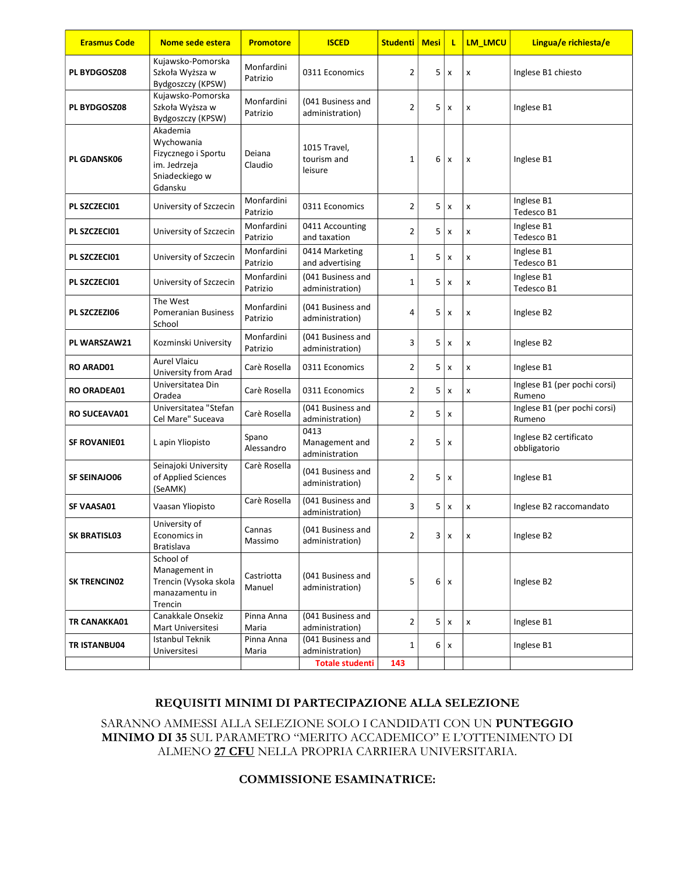| <b>Erasmus Code</b> | Nome sede estera                                                                           | <b>Promotore</b>       | <b>ISCED</b>                                                   | <b>Studenti   Mesi</b> |   | τ                         | LM_LMCU | Lingua/e richiesta/e                   |
|---------------------|--------------------------------------------------------------------------------------------|------------------------|----------------------------------------------------------------|------------------------|---|---------------------------|---------|----------------------------------------|
| <b>PL BYDGOSZ08</b> | Kujawsko-Pomorska<br>Szkoła Wyższa w<br>Bydgoszczy (KPSW)                                  | Monfardini<br>Patrizio | 0311 Economics                                                 | 2                      | 5 | $\boldsymbol{\mathsf{x}}$ | x       | Inglese B1 chiesto                     |
| <b>PL BYDGOSZ08</b> | Kujawsko-Pomorska<br>Szkoła Wyższa w<br>Bydgoszczy (KPSW)                                  | Monfardini<br>Patrizio | (041 Business and<br>administration)                           | 2                      | 5 | X                         | X       | Inglese B1                             |
| PL GDANSK06         | Akademia<br>Wychowania<br>Fizycznego i Sportu<br>im. Jedrzeja<br>Sniadeckiego w<br>Gdansku | Deiana<br>Claudio      | 1015 Travel,<br>tourism and<br>leisure                         | 1                      | 6 | X                         | x       | Inglese B1                             |
| PL SZCZECI01        | University of Szczecin                                                                     | Monfardini<br>Patrizio | 0311 Economics                                                 | 2                      | 5 | X                         | x       | Inglese B1<br>Tedesco B1               |
| PL SZCZECI01        | University of Szczecin                                                                     | Monfardini<br>Patrizio | 0411 Accounting<br>and taxation                                | $\overline{2}$         | 5 | X                         | x       | Inglese B1<br>Tedesco B1               |
| PL SZCZECI01        | University of Szczecin                                                                     | Monfardini<br>Patrizio | 0414 Marketing<br>and advertising                              | 1                      | 5 | x                         | x       | Inglese B1<br>Tedesco B1               |
| PL SZCZECI01        | University of Szczecin                                                                     | Monfardini<br>Patrizio | (041 Business and<br>administration)                           | 1                      | 5 | X                         | x       | Inglese B1<br>Tedesco B1               |
| PL SZCZEZI06        | The West<br>Pomeranian Business<br>School                                                  | Monfardini<br>Patrizio | (041 Business and<br>administration)                           | 4                      | 5 | $\boldsymbol{\mathsf{x}}$ | X       | Inglese B2                             |
| PL WARSZAW21        | Kozminski University                                                                       | Monfardini<br>Patrizio | (041 Business and<br>administration)                           | 3                      | 5 | x                         | X       | Inglese B2                             |
| <b>RO ARAD01</b>    | <b>Aurel Vlaicu</b><br>University from Arad                                                | Carè Rosella           | 0311 Economics                                                 | 2                      | 5 | $\boldsymbol{\mathsf{x}}$ | x       | Inglese B1                             |
| <b>RO ORADEA01</b>  | Universitatea Din<br>Oradea                                                                | Carè Rosella           | 0311 Economics                                                 | 2                      | 5 | $\boldsymbol{\mathsf{x}}$ | x       | Inglese B1 (per pochi corsi)<br>Rumeno |
| <b>RO SUCEAVA01</b> | Universitatea "Stefan<br>Cel Mare" Suceava                                                 | Carè Rosella           | (041 Business and<br>administration)                           | $\overline{2}$         | 5 | $\mathsf{x}$              |         | Inglese B1 (per pochi corsi)<br>Rumeno |
| <b>SF ROVANIE01</b> | L apin Yliopisto                                                                           | Spano<br>Alessandro    | 0413<br>Management and<br>administration                       | 2                      | 5 | x                         |         | Inglese B2 certificato<br>obbligatorio |
| <b>SF SEINAJO06</b> | Seinajoki University<br>of Applied Sciences<br>(SeAMK)                                     | Carè Rosella           | (041 Business and<br>administration)                           | 2                      | 5 | x                         |         | Inglese B1                             |
| SF VAASA01          | Vaasan Yliopisto                                                                           | Carè Rosella           | (041 Business and<br>administration)                           | 3                      | 5 | X                         | X       | Inglese B2 raccomandato                |
| SK BRATISL03        | University of<br>Economics in<br>Bratislava                                                | Cannas<br>Massimo      | (041 Business and<br>administration)                           | 2                      | 3 | $\pmb{\times}$            | x       | Inglese B2                             |
| <b>SK TRENCINO2</b> | School of<br>Management in<br>Trencin (Vysoka skola<br>manazamentu in<br>Trencin           | Castriotta<br>Manuel   | (041 Business and<br>administration)                           | 5                      | 6 | х                         |         | Inglese B2                             |
| TR CANAKKA01        | Canakkale Onsekiz<br>Mart Universitesi                                                     | Pinna Anna<br>Maria    | (041 Business and<br>administration)                           | 2                      | 5 | x                         | x       | Inglese B1                             |
| TR ISTANBU04        | Istanbul Teknik<br>Universitesi                                                            | Pinna Anna<br>Maria    | (041 Business and<br>administration)<br><b>Totale studenti</b> | 1<br>143               | 6 | X                         |         | Inglese B1                             |

# REQUISITI MINIMI DI PARTECIPAZIONE ALLA SELEZIONE

SARANNO AMMESSI ALLA SELEZIONE SOLO I CANDIDATI CON UN PUNTEGGIO MINIMO DI 35 SUL PARAMETRO "MERITO ACCADEMICO" E L'OTTENIMENTO DI ALMENO 27 CFU NELLA PROPRIA CARRIERA UNIVERSITARIA.

### COMMISSIONE ESAMINATRICE: